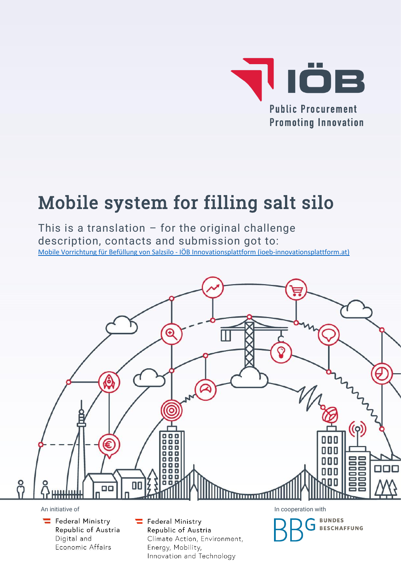

# Mobile system for filling salt silo

This is a translation  $-$  for the original challenge description, contacts and submission got to: Mobile Vorrichtung für Befüllung von Salzsilo - [IÖB Innovationsplattform \(ioeb-innovationsplattform.at\)](https://www.ioeb-innovationsplattform.at/challenges/detail/salzsilo/)

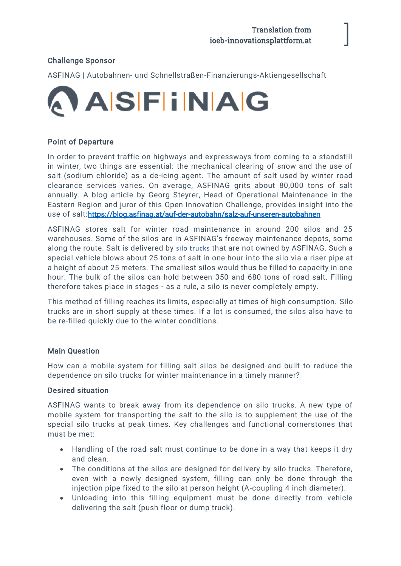]

## Challenge Sponsor

ASFINAG | Autobahnen- und Schnellstraßen-Finanzierungs-Aktiengesellschaft



#### Point of Departure

In order to prevent traffic on highways and expressways from coming to a standstill in winter, two things are essential: the mechanical clearing of snow and the use of salt (sodium chloride) as a de-icing agent. The amount of salt used by winter road clearance services varies. On average, ASFINAG grits about 80,000 tons of salt annually. A blog article by Georg Steyrer, Head of Operational Maintenance in the Eastern Region and juror of this Open Innovation Challenge, provides insight into the use of salt[:https://blog.asfinag.at/auf-der-autobahn/salz-auf-unseren-autobahnen](https://blog.asfinag.at/auf-der-autobahn/salz-auf-unseren-autobahnen)

ASFINAG stores salt for winter road maintenance in around 200 silos and 25 warehouses. Some of the silos are in ASFINAG's freeway maintenance depots, some along the route. Salt is delivered by [silo trucks](https://de.wikipedia.org/wiki/Silofahrzeug) that are not owned by ASFINAG. Such a special vehicle blows about 25 tons of salt in one hour into the silo via a riser pipe at a height of about 25 meters. The smallest silos would thus be filled to capacity in one hour. The bulk of the silos can hold between 350 and 680 tons of road salt. Filling therefore takes place in stages - as a rule, a silo is never completely empty.

This method of filling reaches its limits, especially at times of high consumption. Silo trucks are in short supply at these times. If a lot is consumed, the silos also have to be re-filled quickly due to the winter conditions.

#### Main Question

How can a mobile system for filling salt silos be designed and built to reduce the dependence on silo trucks for winter maintenance in a timely manner?

#### Desired situation

ASFINAG wants to break away from its dependence on silo trucks. A new type of mobile system for transporting the salt to the silo is to supplement the use of the special silo trucks at peak times. Key challenges and functional cornerstones that must be met:

- Handling of the road salt must continue to be done in a way that keeps it dry and clean.
- The conditions at the silos are designed for delivery by silo trucks. Therefore, even with a newly designed system, filling can only be done through the injection pipe fixed to the silo at person height (A-coupling 4 inch diameter).
- Unloading into this filling equipment must be done directly from vehicle delivering the salt (push floor or dump truck).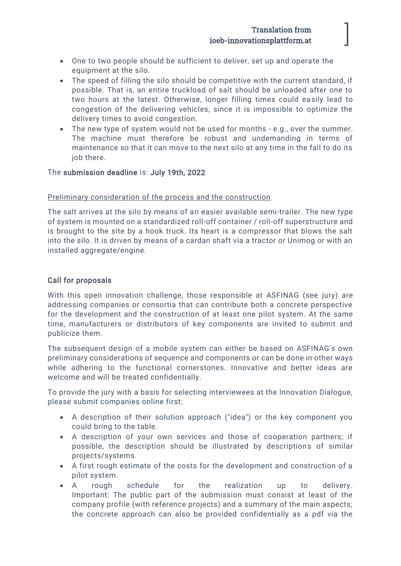## Translation from ioeb-innovationsplattform.at

]

- One to two people should be sufficient to deliver, set up and operate the equipment at the silo.
- The speed of filling the silo should be competitive with the current standard, if possible. That is, an entire truckload of salt should be unloaded after one to two hours at the latest. Otherwise, longer filling times could easily lead to congestion of the delivering vehicles, since it is impossible to optimize the delivery times to avoid congestion.
- The new type of system would not be used for months e.g., over the summer. The machine must therefore be robust and undemanding in terms of maintenance so that it can move to the next silo at any time in the fall to do its job there.

#### The submission deadline is: July 19th, 2022

#### Preliminary consideration of the process and the construction

The salt arrives at the silo by means of an easier available semi-trailer. The new type of system is mounted on a standardized roll-off container / roll-off superstructure and is brought to the site by a hook truck. Its heart is a compressor that blows the salt into the silo. It is driven by means of a cardan shaft via a tractor or Unimog or with an installed aggregate/engine.

#### Call for proposals

With this open innovation challenge, those responsible at ASFINAG (see jury) are addressing companies or consortia that can contribute both a concrete perspective for the development and the construction of at least one pilot system. At the same time, manufacturers or distributors of key components are invited to submit and publicize them.

The subsequent design of a mobile system can either be based on ASFINAG's own preliminary considerations of sequence and components or can be done in other ways while adhering to the functional cornerstones. Innovative and better ideas are welcome and will be treated confidentially.

To provide the jury with a basis for selecting interviewees at the Innovation Dialogue, please submit companies online first:

- A description of their solution approach ("idea") or the key component you could bring to the table.
- A description of your own services and those of cooperation partners; if possible, the description should be illustrated by descriptions of similar projects/systems.
- A first rough estimate of the costs for the development and construction of a pilot system.
- A rough schedule for the realization up to delivery. Important: The public part of the submission must consist at least of the company profile (with reference projects) and a summary of the main aspects; the concrete approach can also be provided confidentially as a pdf via the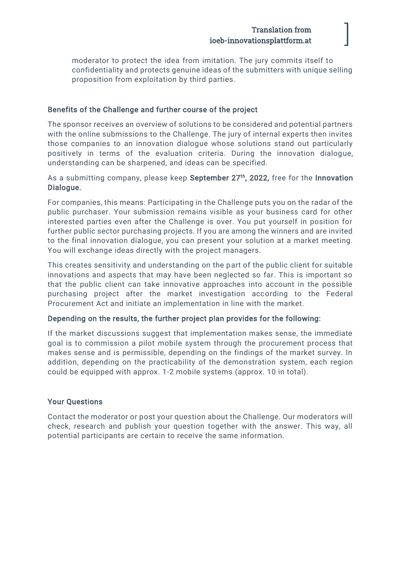# Translation from ioeb-innovationsplattform.at

]

moderator to protect the idea from imitation. The jury commits itself to confidentiality and protects genuine ideas of the submitters with unique selling proposition from exploitation by third parties.

#### Benefits of the Challenge and further course of the project

The sponsor receives an overview of solutions to be considered and potential partners with the online submissions to the Challenge. The jury of internal experts then invites those companies to an innovation dialogue whose solutions stand out particularly positively in terms of the evaluation criteria. During the innovation dialogue, understanding can be sharpened, and ideas can be specified.

#### As a submitting company, please keep September 27<sup>th</sup>, 2022, free for the Innovation Dialogue.

For companies, this means: Participating in the Challenge puts you on the radar of the public purchaser. Your submission remains visible as your business card for other interested parties even after the Challenge is over. You put yourself in position for further public sector purchasing projects. If you are among the winners and are invited to the final innovation dialogue, you can present your solution at a market meeting. You will exchange ideas directly with the project managers.

This creates sensitivity and understanding on the part of the public client for suitable innovations and aspects that may have been neglected so far. This is important so that the public client can take innovative approaches into account in the possible purchasing project after the market investigation according to the Federal Procurement Act and initiate an implementation in line with the market.

#### Depending on the results, the further project plan provides for the following:

If the market discussions suggest that implementation makes sense, the immediate goal is to commission a pilot mobile system through the procurement process that makes sense and is permissible, depending on the findings of the market survey. In addition, depending on the practicability of the demonstration system, each region could be equipped with approx. 1-2 mobile systems (approx. 10 in total).

#### Your Questions

Contact the moderator or post your question about the Challenge. Our moderators will check, research and publish your question together with the answer. This way, all potential participants are certain to receive the same information.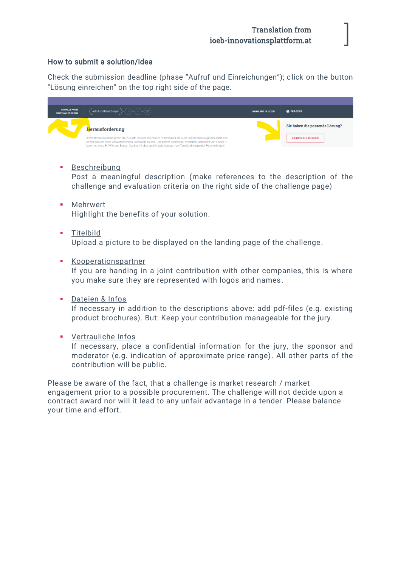]

#### How to submit a solution/idea

Check the submission deadline (phase "Aufruf und Einreichungen"); click on the button "Lösung einreichen" on the top right side of the page.

| <b>AKTUELLE PHASE</b><br><b>ENDET AM: 27.02.2022</b> | $-(2)(3)(9)$<br>Aufruf und Einreichungen                                                                                                                                                                                                                                                                                                               | <b>ONLINE SEIT 15.12.2021</b> | @ FRAGEN?                      |
|------------------------------------------------------|--------------------------------------------------------------------------------------------------------------------------------------------------------------------------------------------------------------------------------------------------------------------------------------------------------------------------------------------------------|-------------------------------|--------------------------------|
|                                                      | <b>Herausforderung</b>                                                                                                                                                                                                                                                                                                                                 |                               | Sie haben die passende Lösung? |
|                                                      | Alternativen Antrieben gehört die Zukunft. Sowohl im urbanen Stadtverkehr als auch in ländlichen Regionen spielt eine<br>immer größere Rolle, umweltschonend unterwegs zu sein. Das betrifft Fahrzeuge, mit denen Menschen von A nach B<br>kommen, wie z.B. PKW und Busse. Das betrifft aber auch Nutzfahrzeuge, vom Tanklöschwagen der Feuerwehr über |                               | <b>LÖSUNG EINREICHEN</b>       |

**•** Beschreibung

Post a meaningful description (make references to the description of the challenge and evaluation criteria on the right side of the challenge page)

- Mehrwert Highlight the benefits of your solution.
- **·** Titelbild Upload a picture to be displayed on the landing page of the challenge.
- Kooperationspartner

If you are handing in a joint contribution with other companies, this is where you make sure they are represented with logos and names.

▪ Dateien & Infos

If necessary in addition to the descriptions above: add pdf-files (e.g. existing product brochures). But: Keep your contribution manageable for the jury.

▪ Vertrauliche Infos

If necessary, place a confidential information for the jury, the sponsor and moderator (e.g. indication of approximate price range). All other parts of the contribution will be public.

Please be aware of the fact, that a challenge is market research / market engagement prior to a possible procurement. The challenge will not decide upon a contract award nor will it lead to any unfair advantage in a tender. Please balance your time and effort.